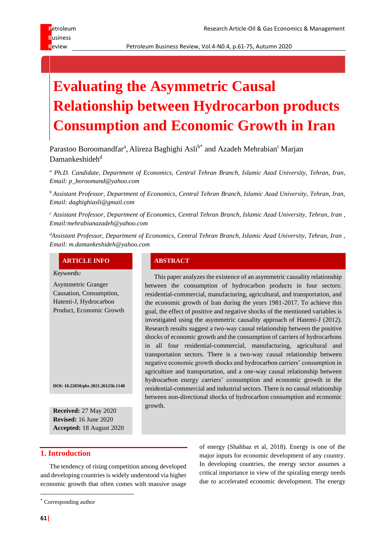Review **Review Petroleum Business Review, Vol.4-N0.4, p.61-75, Autumn 2020** 

# **Evaluating the Asymmetric Causal Relationship between Hydrocarbon products Consumption and Economic Growth in Iran**

Parastoo Boroomandfar<sup>a</sup>, Alireza Baghighi Asli<sup>b\*</sup> and Azadeh Mehrabian<sup>c</sup> Marjan  $D$ amankeshideh<sup>d</sup>

*<sup>a</sup> Ph.D. Candidate, Department of Economics, Central Tehran Branch, Islamic Azad University, Tehran, Iran, Email: p\_boroomand@yahoo.com*

*<sup>b</sup> Assistant Professor, Department of Economics, Central Tehran Branch, Islamic Azad University, Tehran, Iran, Email: daghighiasli@gmail.com*

*<sup>c</sup> Assistant Professor, Department of Economics, Central Tehran Branch, Islamic Azad University, Tehran, Iran , Email:mehrabianazadeh@yahoo.com*

*<sup>d</sup>Assistant Professor, Department of Economics, Central Tehran Branch, Islamic Azad University, Tehran, Iran , Email: m.damankeshideh@yahoo.com*

# **ARTICLE INFO ABSTRACT**

*Keywords:*

Asymmetric Granger Causation, Consumption, Hatemi-J, Hydrocarbon Product, Economic Growth

**DOI: 10.22050/pbr.2021.261256.1148**

**Received:** 27 May 2020 **Revised:** 16 June 2020 **Accepted:** 18 August 2020

This paper analyzes the existence of an asymmetric causality relationship between the consumption of hydrocarbon products in four sectors: residential-commercial, manufacturing, agricultural, and transportation, and the economic growth of Iran during the years 1981-2017. To achieve this goal, the effect of positive and negative shocks of the mentioned variables is investigated using the asymmetric causality approach of Hatemi-J (2012). Research results suggest a two-way causal relationship between the positive shocks of economic growth and the consumption of carriers of hydrocarbons in all four residential-commercial, manufacturing, agricultural and transportation sectors. There is a two-way causal relationship between negative economic growth shocks and hydrocarbon carriers' consumption in agriculture and transportation, and a one-way causal relationship between hydrocarbon energy carriers' consumption and economic growth in the residential-commercial and industrial sectors. There is no causal relationship between non-directional shocks of hydrocarbon consumption and economic growth.

# **1. Introduction**

The tendency of rising competition among developed and developing countries is widely understood via higher economic growth that often comes with massive usage

\* Corresponding author

of energy (Shahbaz et al, 2018). Energy is one of the major inputs for economic development of any country. In developing countries, the energy sector assumes a critical importance in view of the spiraling energy needs due to accelerated economic development. The energy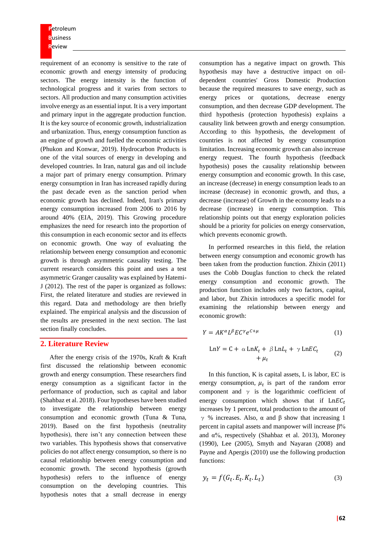**P**etroleum **B**usiness **R**eview

requirement of an economy is sensitive to the rate of economic growth and energy intensity of producing sectors. The energy intensity is the function of technological progress and it varies from sectors to sectors. All production and many consumption activities involve energy as an essential input. It is a very important and primary input in the aggregate production function. It is the key source of economic growth, industrialization and urbanization. Thus, energy consumption function as an engine of growth and fuelled the economic activities (Phukon and Konwar, 2019). Hydrocarbon Products is one of the vital sources of energy in developing and developed countries. In Iran, natural gas and oil include a major part of primary energy consumption. Primary energy consumption in Iran has increased rapidly during the past decade even as the sanction period when economic growth has declined. Indeed, Iran's primary energy consumption increased from 2006 to 2016 by around 40% (EIA, 2019). This Growing procedure emphasizes the need for research into the proportion of this consumption in each economic sector and its effects on economic growth. One way of evaluating the relationship between energy consumption and economic growth is through asymmetric causality testing. The current research considers this point and uses a test asymmetric Granger causality was explained by Hatemi-J (2012). The rest of the paper is organized as follows: First, the related literature and studies are reviewed in this regard. Data and methodology are then briefly explained. The empirical analysis and the discussion of the results are presented in the next section. The last section finally concludes.

# **2. Literature Review**

After the energy crisis of the 1970s, Kraft & Kraft first discussed the relationship between economic growth and energy consumption. These researchers find energy consumption as a significant factor in the performance of production, such as capital and labor (Shahbaz et al. 2018). Four hypotheses have been studied to investigate the relationship between energy consumption and economic growth (Tuna & Tuna, 2019). Based on the first hypothesis (neutrality hypothesis), there isn't any connection between these two variables. This hypothesis shows that conservative policies do not affect energy consumption, so there is no causal relationship between energy consumption and economic growth. The second hypothesis (growth hypothesis) refers to the influence of energy consumption on the developing countries. This hypothesis notes that a small decrease in energy

consumption has a negative impact on growth. This hypothesis may have a destructive impact on oildependent countries' Gross Domestic Production because the required measures to save energy, such as energy prices or quotations, decrease energy consumption, and then decrease GDP development. The third hypothesis (protection hypothesis) explains a causality link between growth and energy consumption. According to this hypothesis, the development of countries is not affected by energy consumption limitation. Increasing economic growth can also increase energy request. The fourth hypothesis (feedback hypothesis) poses the causality relationship between energy consumption and economic growth. In this case, an increase (decrease) in energy consumption leads to an increase (decrease) in economic growth, and thus, a decrease (increase) of Growth in the economy leads to a decrease (increase) in energy consumption. This relationship points out that energy exploration policies should be a priority for policies on energy conservation, which prevents economic growth.

In performed researches in this field, the relation between energy consumption and economic growth has been taken from the production function. Zhixin (2011) uses the Cobb Douglas function to check the related energy consumption and economic growth. The production function includes only two factors, capital, and labor, but Zhixin introduces a specific model for examining the relationship between energy and economic growth:

$$
Y = AK^{\alpha}L^{\beta}EC^{\gamma}e^{C+\mu} \tag{1}
$$

$$
LnY = C + \alpha LnK_t + \beta LnL_t + \gamma LnEC_t + \mu_t
$$
 (2)

In this function, K is capital assets, L is labor, EC is energy consumption,  $\mu_t$  is part of the random error component and  $\gamma$  is the logarithmic coefficient of energy consumption which shows that if  $LnEC_t$ increases by 1 percent, total production to the amount of γ % increases. Also, α and β show that increasing 1 percent in capital assets and manpower will increase β% and  $\alpha$ %, respectively (Shahbaz et al. 2013), Moroney (1990), Lee (2005), Smyth and Nayaran (2008) and Payne and Apergis (2010) use the following production functions:

$$
y_t = f(G_t, E_t, K_t, L_t)
$$
\n(3)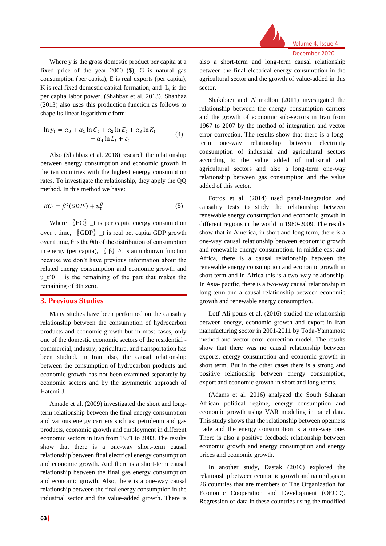

Where y is the gross domestic product per capita at a fixed price of the year 2000 (\$), G is natural gas consumption (per capita), E is real exports (per capita), K is real fixed domestic capital formation, and L, is the per capita labor power. (Shahbaz et al. 2013). Shahbaz (2013) also uses this production function as follows to shape its linear logarithmic form:

$$
\ln y_t = \alpha_0 + \alpha_1 \ln G_t + \alpha_2 \ln E_t + \alpha_3 \ln K_t
$$
  
+ 
$$
\alpha_4 \ln L_t + \varepsilon_t
$$
 (4)

Also (Shahbaz et al. 2018) research the relationship between energy consumption and economic growth in the ten countries with the highest energy consumption rates. To investigate the relationship, they apply the QQ method. In this method we have:

$$
EC_t = \beta^t (GDP_t) + u_t^{\theta} \tag{5}
$$

Where  $[EC]$   $_t$  is per capita energy consumption over t time, 〖GDP〗\_t is real pet capita GDP growth over t time,  $\theta$  is the  $\theta$ th of the distribution of consumption in energy (per capita),  $\left[\begin{array}{cc} \beta \end{array}\right]$  ^t is an unknown function because we don't have previous information about the related energy consumption and economic growth and u t $\theta$  is the remaining of the part that makes the remaining of θth zero.

# **3. Previous Studies**

Many studies have been performed on the causality relationship between the consumption of hydrocarbon products and economic growth but in most cases, only one of the domestic economic sectors of the residential commercial, industry, agriculture, and transportation has been studied. In Iran also, the causal relationship between the consumption of hydrocarbon products and economic growth has not been examined separately by economic sectors and by the asymmetric approach of Hatemi-J.

Amade et al. (2009) investigated the short and longterm relationship between the final energy consumption and various energy carriers such as: petroleum and gas products, economic growth and employment in different economic sectors in Iran from 1971 to 2003. The results show that there is a one-way short-term causal relationship between final electrical energy consumption and economic growth. And there is a short-term causal relationship between the final gas energy consumption and economic growth. Also, there is a one-way causal relationship between the final energy consumption in the industrial sector and the value-added growth. There is also a short-term and long-term causal relationship between the final electrical energy consumption in the agricultural sector and the growth of value-added in this sector.

Shakibaei and Ahmadlou (2011) investigated the relationship between the energy consumption carriers and the growth of economic sub-sectors in Iran from 1967 to 2007 by the method of integration and vector error correction. The results show that there is a longterm one-way relationship between electricity consumption of industrial and agricultural sectors according to the value added of industrial and agricultural sectors and also a long-term one-way relationship between gas consumption and the value added of this sector.

Fotros et al. (2014) used panel-integration and causality tests to study the relationship between renewable energy consumption and economic growth in different regions in the world in 1980-2009. The results show that in America, in short and long term, there is a one-way causal relationship between economic growth and renewable energy consumption. In middle east and Africa, there is a causal relationship between the renewable energy consumption and economic growth in short term and in Africa this is a two-way relationship. In Asia- pacific, there is a two-way causal relationship in long term and a causal relationship between economic growth and renewable energy consumption.

Lotf-Ali pours et al. (2016) studied the relationship between energy, economic growth and export in Iran manufacturing sector in 2001-2011 by Toda-Yamamoto method and vector error correction model. The results show that there was no causal relationship between exports, energy consumption and economic growth in short term. But in the other cases there is a strong and positive relationship between energy consumption, export and economic growth in short and long terms.

(Adams et al. 2016) analyzed the South Saharan African political regime, energy consumption and economic growth using VAR modeling in panel data. This study shows that the relationship between openness trade and the energy consumption is a one-way one. There is also a positive feedback relationship between economic growth and energy consumption and energy prices and economic growth.

In another study, Dastak (2016) explored the relationship between economic growth and natural gas in 26 countries that are members of The Organization for Economic Cooperation and Development (OECD). Regression of data in these countries using the modified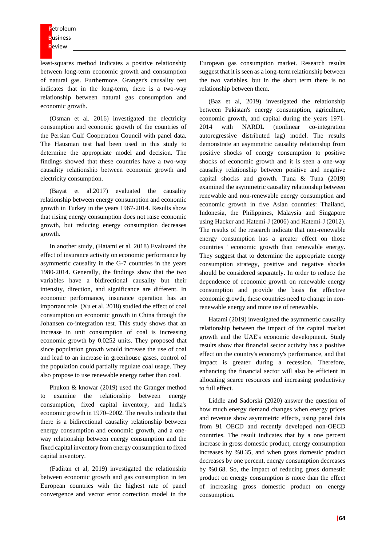least-squares method indicates a positive relationship between long-term economic growth and consumption of natural gas. Furthermore, Granger's causality test indicates that in the long-term, there is a two-way relationship between natural gas consumption and economic growth.

(Osman et al. 2016) investigated the electricity consumption and economic growth of the countries of the Persian Gulf Cooperation Council with panel data. The Hausman test had been used in this study to determine the appropriate model and decision. The findings showed that these countries have a two-way causality relationship between economic growth and electricity consumption.

(Bayat et al.2017) evaluated the causality relationship between energy consumption and economic growth in Turkey in the years 1967-2014. Results show that rising energy consumption does not raise economic growth, but reducing energy consumption decreases growth.

In another study, (Hatami et al. 2018) Evaluated the effect of insurance activity on economic performance by asymmetric causality in the G-7 countries in the years 1980-2014. Generally, the findings show that the two variables have a bidirectional causality but their intensity, direction, and significance are different. In economic performance, insurance operation has an important role. (Xu et al. 2018) studied the effect of coal consumption on economic growth in China through the Johansen co-integration test. This study shows that an increase in unit consumption of coal is increasing economic growth by 0.0252 units. They proposed that since population growth would increase the use of coal and lead to an increase in greenhouse gases, control of the population could partially regulate coal usage. They also propose to use renewable energy rather than coal.

Phukon & knowar (2019) used the Granger method to examine the relationship between energy consumption, fixed capital inventory, and India's economic growth in 1970–2002. The results indicate that there is a bidirectional causality relationship between energy consumption and economic growth, and a oneway relationship between energy consumption and the fixed capital inventory from energy consumption to fixed capital inventory.

(Fadiran et al, 2019) investigated the relationship between economic growth and gas consumption in ten European countries with the highest rate of panel convergence and vector error correction model in the

European gas consumption market. Research results suggest that it is seen as a long-term relationship between the two variables, but in the short term there is no relationship between them.

(Baz et al, 2019) investigated the relationship between Pakistan's energy consumption, agriculture, economic growth, and capital during the years 1971- 2014 with NARDL (nonlinear co-integration autoregressive distributed lag) model. The results demonstrate an asymmetric causality relationship from positive shocks of energy consumption to positive shocks of economic growth and it is seen a one-way causality relationship between positive and negative capital shocks and growth. Tuna & Tuna (2019) examined the asymmetric causality relationship between renewable and non-renewable energy consumption and economic growth in five Asian countries: Thailand, Indonesia, the Philippines, Malaysia and Singapore using Hacker and Hatemi-J (2006) and Hatemi-J (2012). The results of the research indicate that non-renewable energy consumption has a greater effect on those countries ' economic growth than renewable energy. They suggest that to determine the appropriate energy consumption strategy, positive and negative shocks should be considered separately. In order to reduce the dependence of economic growth on renewable energy consumption and provide the basis for effective economic growth, these countries need to change in nonrenewable energy and more use of renewable.

Hatami (2019) investigated the asymmetric causality relationship between the impact of the capital market growth and the UAE's economic development. Study results show that financial sector activity has a positive effect on the country's economy's performance, and that impact is greater during a recession. Therefore, enhancing the financial sector will also be efficient in allocating scarce resources and increasing productivity to full effect.

Liddle and Sadorski (2020) answer the question of how much energy demand changes when energy prices and revenue show asymmetric effects, using panel data from 91 OECD and recently developed non-OECD countries. The result indicates that by a one percent increase in gross domestic product, energy consumption increases by %0.35, and when gross domestic product decreases by one percent, energy consumption decreases by %0.68. So, the impact of reducing gross domestic product on energy consumption is more than the effect of increasing gross domestic product on energy consumption.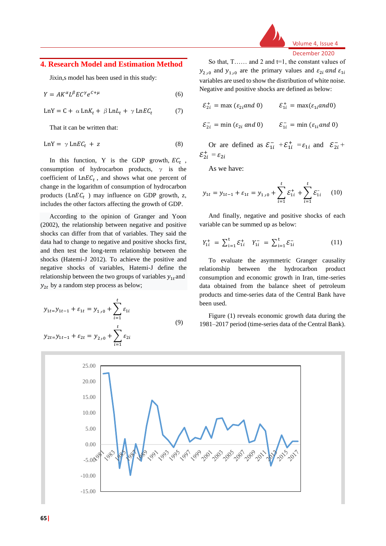

Volume 4, Issue 4 December 2020

# **4. Research Model and Estimation Method**

Jixin,s model has been used in this study:

$$
Y = AK^{\alpha}L^{\beta}EC^{\gamma}e^{C+\mu} \tag{6}
$$

$$
LnY = C + \alpha LnK_t + \beta LnL_t + \gamma LnEC_t \tag{7}
$$

That it can be written that:

$$
LnY = \gamma LnEC_t + z \tag{8}
$$

In this function, Y is the GDP growth,  $EC_t$ , consumption of hydrocarbon products,  $\gamma$  is the coefficient of  $LnEC<sub>t</sub>$ , and shows what one percent of change in the logarithm of consumption of hydrocarbon products ( $LnEC_t$ ) may influence on GDP growth, z, includes the other factors affecting the growth of GDP.

According to the opinion of Granger and Yoon (2002), the relationship between negative and positive shocks can differ from that of variables. They said the data had to change to negative and positive shocks first, and then test the long-term relationship between the shocks (Hatemi-J 2012). To achieve the positive and negative shocks of variables, Hatemi-J define the relationship between the two groups of variables  $y_{1t}$  and  $y_{2t}$  by a random step process as below;

$$
y_{1t} = y_{1t-1} + \varepsilon_{1t} = y_{1,0} + \sum_{i=1}^{t} \varepsilon_{1i}
$$
  

$$
y_{2t} = y_{1t-1} + \varepsilon_{2t} = y_{2,0} + \sum_{i=1}^{t} \varepsilon_{2i}
$$
 (9)

So that, T…… and 2 and t=1, the constant values of  $y_{2,0}$  and  $y_{1,0}$  are the primary values and  $\varepsilon_{2i}$  and  $\varepsilon_{1i}$ variables are used to show the distribution of white noise. Negative and positive shocks are defined as below:

$$
\mathcal{E}_{2i}^{+} = \max (\varepsilon_{2i} \text{ and } 0) \qquad \mathcal{E}_{1i}^{+} = \max (\varepsilon_{1i} \text{ and } 0)
$$
  

$$
\mathcal{E}_{2i}^{-} = \min (\varepsilon_{2i} \text{ and } 0) \qquad \mathcal{E}_{1i}^{-} = \min (\varepsilon_{1i} \text{ and } 0)
$$

Or are defined as  $\mathcal{E}_{1i}^- + \mathcal{E}_{1i}^+ = \varepsilon_{1i}$  and  $\mathcal{E}_{2i}^-$ +  $\varepsilon_{2i}^+$  =  $\varepsilon_{2i}$ 

As we have:

$$
y_{1t} = y_{1t-1} + \varepsilon_{1t} = y_{1,0} + \sum_{i=1}^{t} \varepsilon_{1i}^{+} + \sum_{i=1}^{t} \varepsilon_{1i}^{-} \quad (10)
$$

And finally, negative and positive shocks of each variable can be summed up as below:

$$
Y_{1i}^{+} = \sum_{i=1}^{t} \mathcal{E}_{1i}^{+} Y_{1i}^{-} = \sum_{i=1}^{t} \mathcal{E}_{1i}^{-} \qquad (11)
$$

To evaluate the asymmetric Granger causality relationship between the hydrocarbon product consumption and economic growth in Iran, time-series data obtained from the balance sheet of petroleum products and time-series data of the Central Bank have been used.

Figure (1) reveals economic growth data during the 1981–2017 period (time-series data of the Central Bank).

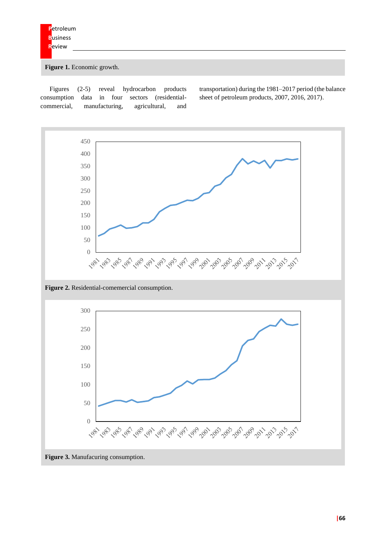Figure 1. Economic growth.

Figures (2-5) reveal hydrocarbon products consumption data in four sectors (residentialcommercial, manufacturing, agricultural, and transportation) during the 1981–2017 period (the balance sheet of petroleum products, 2007, 2016, 2017).

450 400 350 300 250 200 150 100 50 0 

**Figure 2.** Residential-comemercial consumption.

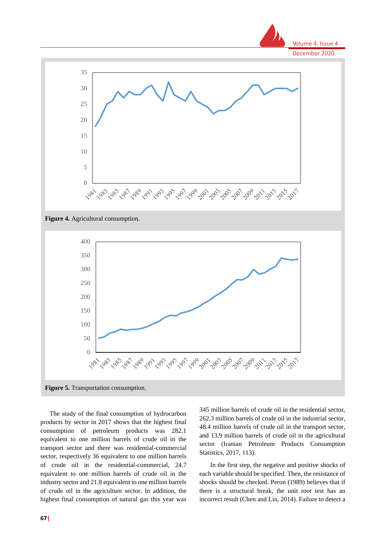

**Figure 4.** Agricultural consumption.



The study of the final consumption of hydrocarbon products by sector in 2017 shows that the highest final consumption of petroleum products was 282.1 equivalent to one million barrels of crude oil in the transport sector and there was residential-commercial sector, respectively 36 equivalent to one million barrels of crude oil in the residential-commercial, 24.7 equivalent to one million barrels of crude oil in the industry sector and 21.8 equivalent to one million barrels of crude oil in the agriculture sector. In addition, the highest final consumption of natural gas this year was

345 million barrels of crude oil in the residential sector, 262.3 million barrels of crude oil in the industrial sector, 48.4 million barrels of crude oil in the transport sector, and 13.9 million barrels of crude oil in the agricultural sector (Iranian Petroleum Products Consumption Statistics, 2017, 113).

In the first step, the negative and positive shocks of each variable should be specified. Then, the resistance of shocks should be checked. Peron (1989) believes that if there is a structural break, the unit root test has an incorrect result (Chen and Lin, 2014). Failure to detect a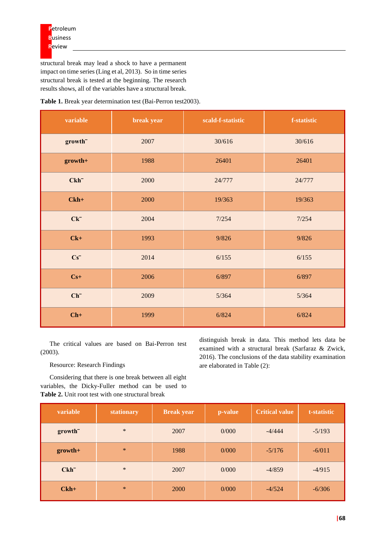structural break may lead a shock to have a permanent impact on time series (Ling et al, 2013). So in time series structural break is tested at the beginning. The research results shows, all of the variables have a structural break.

**Table 1.** Break year determination test (Bai-Perron test2003).

| variable            | break year | scald-f-statistic | f-statistic |
|---------------------|------------|-------------------|-------------|
| growth <sup>-</sup> | 2007       | 30/616            | 30/616      |
| growth+             | 1988       | 26401             | 26401       |
| $Ckh^-$             | 2000       | 24/777            | 24/777      |
| $Ckh+$              | 2000       | 19/363            | 19/363      |
| $Ck^-$              | 2004       | 7/254             | 7/254       |
| $Ck+$               | 1993       | 9/826             | 9/826       |
| $Cs^-$              | 2014       | 6/155             | 6/155       |
| $Cs+$               | 2006       | 6/897             | 6/897       |
| $Ch^-$              | 2009       | 5/364             | 5/364       |
| $Ch+$               | 1999       | 6/824             | 6/824       |

The critical values are based on Bai-Perron test (2003).

Resource: Research Findings

Considering that there is one break between all eight variables, the Dicky-Fuller method can be used to **Table 2.** Unit root test with one structural break

distinguish break in data. This method lets data be examined with a structural break (Sarfaraz & Zwick, 2016). The conclusions of the data stability examination are elaborated in Table (2):

| variable            | stationary | <b>Break year</b> | p-value | <b>Critical value</b> | t-statistic |
|---------------------|------------|-------------------|---------|-----------------------|-------------|
| growth <sup>-</sup> | $\ast$     | 2007              | 0/000   | $-4/444$              | $-5/193$    |
| $growth+$           | $\ast$     | 1988              | 0/000   | $-5/176$              | $-6/011$    |
| $Ckh^-$             | $\ast$     | 2007              | 0/000   | $-4/859$              | $-4/915$    |
| $Ckh+$              | $*$        | 2000              | 0/000   | $-4/524$              | $-6/306$    |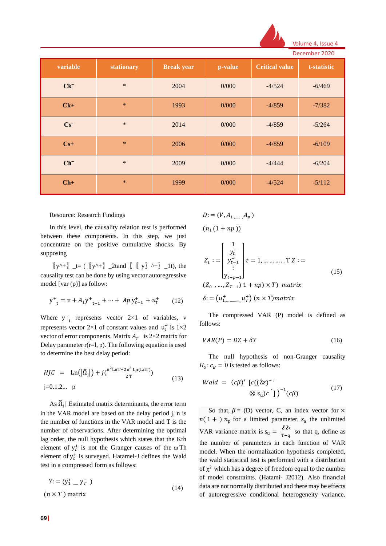

|  |  | Volume 4, Issue 4 |  |
|--|--|-------------------|--|
|  |  |                   |  |

|          |            |                   |         |                       | December 2020 |
|----------|------------|-------------------|---------|-----------------------|---------------|
| variable | stationary | <b>Break year</b> | p-value | <b>Critical value</b> | t-statistic   |
| $Ck^-$   | $\ast$     | 2004              | 0/000   | $-4/524$              | $-6/469$      |
| $Ck+$    | $\ast$     | 1993              | 0/000   | $-4/859$              | $-7/382$      |
| $Cs^-$   | $\ast$     | 2014              | 0/000   | $-4/859$              | $-5/264$      |
| $Cs+$    | $\ast$     | 2006              | 0/000   | $-4/859$              | $-6/109$      |
| $Ch^-$   | $\ast$     | 2009              | 0/000   | $-4/444$              | $-6/204$      |
| $Ch+$    | $\ast$     | 1999              | 0/000   | $-4/524$              | $-5/112$      |

#### Resource: Research Findings

In this level, the causality relation test is performed between these components. In this step, we just concentrate on the positive cumulative shocks. By supposing

 $[y^{\lambda}+]$  \_t= ( $[y^{\lambda}+]$  \_2tand  $[[y^{\lambda}+]]$  \_1t), the causality test can be done by using vector autoregressive model [var (p)] as follow:

$$
y^{+}_{t} = v + A_{1}y^{+}_{t-1} + \dots + Ap y^{+}_{t-1} + u^{+}_{t} \qquad (12)
$$

Where  $y^+$ <sub>t</sub> represents vector 2×1 of variables, v represents vector  $2\times1$  of constant values and  $u_t^+$  is  $1\times2$ vector of error components. Matrix  $A_r$  is 2×2 matrix for Delay parameter  $r(r=1, p)$ . The following equation is used to determine the best delay period:

*HJC* = Ln(
$$
|\hat{\Omega}_j|
$$
) +  $j(\frac{n^2 \ln T + 2n^2 \ln(\ln T)}{2T})$  (13)  
j=0.1.2... p

As  $\widehat{\Omega}_j$  Estimated matrix determinants, the error term in the VAR model are based on the delay period j, n is the number of functions in the VAR model and T is the number of observations. After determining the optimal lag order, the null hypothesis which states that the Kth element of  $y_t^+$  is not the Granger causes of the  $\omega$ Th element of  $y_t^+$  is surveyed. Hatamei-J defines the Wald test in a compressed form as follows:

$$
Y = (y_1^+ \dots y_T^+) \tag{14}
$$
  

$$
(n \times T) \text{ matrix}
$$

$$
D:=(V, A_{1,......}, A_{p})
$$

$$
(n_1(1+np))
$$

$$
Z_{t} := \begin{bmatrix} 1 \\ y_{t}^{+} \\ y_{t-1}^{+} \\ \vdots \\ y_{t-p-1}^{+} \end{bmatrix} t = 1, \dots \dots \dots \dots T Z :=
$$
\n
$$
(15)
$$
\n
$$
(Z_{0}, \dots, Z_{T-1}) 1 + np) \times T) matrix
$$

$$
\delta = (u_{1,\dots,\dots,\nu}^+) (n \times T) matrix
$$

The compressed VAR (P) model is defined as follows:

$$
VAR(P) = DZ + \delta Y \tag{16}
$$

The null hypothesis of non-Granger causality  $H_0: c_B = 0$  is tested as follows:

$$
Wald = (c\beta)' [c((\hat{Z}z)^{-1})
$$
  
 
$$
\otimes s_u)c' ] \big)^{-1} (c\beta)
$$
 (17)

So that,  $\beta = (D)$  vector, C, an index vector for  $\times$  $n(1 + ) n_p$  for a limited parameter,  $s_u$  the unlimited VAR variance matrix is  $s_u = \frac{\delta \hat{\delta}^{v}}{T - a}$  $\frac{60}{T-q}$  so that q, define as the number of parameters in each function of VAR model. When the normalization hypothesis completed, the wald statistical test is performed with a distribution of  $\chi^2$  which has a degree of freedom equal to the number of model constraints. (Hatami- J2012). Also financial data are not normally distributed and there may be effects of autoregressive conditional heterogeneity variance.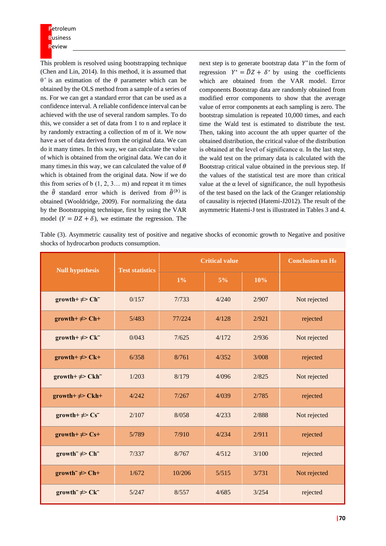**P**etroleum **B**usiness **R**eview

This problem is resolved using bootstrapping technique (Chen and Lin, 2014). In this method, it is assumed that  $θ$ <sup> $\land$ </sup> is an estimation of the  $θ$  parameter which can be obtained by the OLS method from a sample of a series of ns. For we can get a standard error that can be used as a confidence interval. A reliable confidence interval can be achieved with the use of several random samples. To do this, we consider a set of data from 1 to n and replace it by randomly extracting a collection of m of it. We now have a set of data derived from the original data. We can do it many times. In this way, we can calculate the value of which is obtained from the original data. We can do it many times.in this way, we can calculated the value of  $\theta$ which is obtained from the original data. Now if we do this from series of  $b(1, 2, 3... m)$  and repeat it m times the  $\hat{\theta}$  standard error which is derived from  $\hat{\theta}^{(b)}$  is obtained (Wooldridge, 2009). For normalizing the data by the Bootstrapping technique, first by using the VAR model  $(Y = DZ + \delta)$ , we estimate the regression. The

next step is to generate bootstrap data  $Y^*$  in the form of regression  $Y^* = \overline{D}Z + \delta^*$  by using the coefficients which are obtained from the VAR model. Error components Bootstrap data are randomly obtained from modified error components to show that the average value of error components at each sampling is zero. The bootstrap simulation is repeated 10,000 times, and each time the Wald test is estimated to distribute the test. Then, taking into account the ath upper quarter of the obtained distribution, the critical value of the distribution is obtained at the level of significance α. In the last step, the wald test on the primary data is calculated with the Bootstrap critical value obtained in the previous step. If the values of the statistical test are more than critical value at the α level of significance, the null hypothesis of the test based on the lack of the Granger relationship of causality is rejected (Hatemi-J2012). The result of the asymmetric Hatemi-J test is illustrated in Tables 3 and 4.

Table (3). Asymmetric causality test of positive and negative shocks of economic growth to Negative and positive shocks of hydrocarbon products consumption.

| <b>Null hypothesis</b>            | <b>Test statistics</b> | <b>Critical value</b> | <b>Conclusion on Ho</b> |       |              |
|-----------------------------------|------------------------|-----------------------|-------------------------|-------|--------------|
|                                   |                        | $1\%$                 | $5\%$                   | 10%   |              |
| growth+ $\neq$ > Ch <sup>-</sup>  | 0/157                  | 7/733                 | 4/240                   | 2/907 | Not rejected |
| growth+ $\neq$ > Ch+              | 5/483                  | 77/224                | 4/128                   | 2/921 | rejected     |
| growth+ $\neq$ > Ck <sup>-</sup>  | 0/043                  | 7/625                 | 4/172                   | 2/936 | Not rejected |
| $growth+ \neq$ Ck+                | 6/358                  | 8/761                 | 4/352                   | 3/008 | rejected     |
| growth+ $\neq$ > Ckh <sup>-</sup> | 1/203                  | 8/179                 | 4/096                   | 2/825 | Not rejected |
| $growth+ \neq$ Ckh+               | 4/242                  | 7/267                 | 4/039                   | 2/785 | rejected     |
| growth+ $\neq$ > $Cs^-$           | 2/107                  | 8/058                 | 4/233                   | 2/888 | Not rejected |
| growth+ $\neq$ Cs+                | 5/789                  | 7/910                 | 4/234                   | 2/911 | rejected     |
| growth $\neq$ Ch <sup>-</sup>     | 7/337                  | 8/767                 | 4/512                   | 3/100 | rejected     |
| growth $\neq$ Ch+                 | 1/672                  | 10/206                | 5/515                   | 3/731 | Not rejected |
| growth $\neq$ Ck <sup>-</sup>     | 5/247                  | 8/557                 | 4/685                   | 3/254 | rejected     |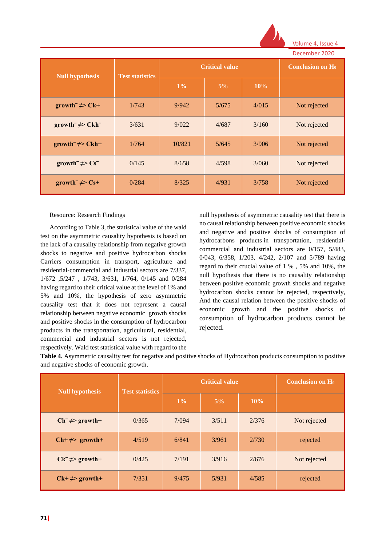

Volume 4, Issue December 2020

|                               |                        | <b>Critical value</b> | DECENINER ZUZU<br><b>Conclusion on H<sub>0</sub></b> |       |              |
|-------------------------------|------------------------|-----------------------|------------------------------------------------------|-------|--------------|
| <b>Null hypothesis</b>        | <b>Test statistics</b> | $1\%$                 | $5\%$                                                | 10%   |              |
| growth $\neq$ Ck+             | 1/743                  | 9/942                 | 5/675                                                | 4/015 | Not rejected |
| $growth^- \neq Ckh^-$         | 3/631                  | 9/022                 | 4/687                                                | 3/160 | Not rejected |
| growth $\neq$ Ckh+            | 1/764                  | 10/821                | 5/645                                                | 3/906 | Not rejected |
| growth $\neq$ Cs <sup>-</sup> | 0/145                  | 8/658                 | 4/598                                                | 3/060 | Not rejected |
| growth $\neq$ Cs+             | 0/284                  | 8/325                 | 4/931                                                | 3/758 | Not rejected |

#### Resource: Research Findings

According to Table 3, the statistical value of the wald test on the asymmetric causality hypothesis is based on the lack of a causality relationship from negative growth shocks to negative and positive hydrocarbon shocks Carriers consumption in transport, agriculture and residential-commercial and industrial sectors are 7/337, 1/672 ,5/247 , 1/743, 3/631, 1/764, 0/145 and 0/284 having regard to their critical value at the level of 1% and 5% and 10%, the hypothesis of zero asymmetric causality test that it does not represent a causal relationship between negative economic growth shocks and positive shocks in the consumption of hydrocarbon products in the transportation, agricultural, residential, commercial and industrial sectors is not rejected, respectively. Wald test statistical value with regard to the

null hypothesis of asymmetric causality test that there is no causal relationship between positive economic shocks and negative and positive shocks of consumption of hydrocarbons products in transportation, residentialcommercial and industrial sectors are 0/157, 5/483, 0/043, 6/358, 1/203, 4/242, 2/107 and 5/789 having regard to their crucial value of 1 % , 5% and 10%, the null hypothesis that there is no causality relationship between positive economic growth shocks and negative hydrocarbon shocks cannot be rejected, respectively, And the causal relation between the positive shocks of economic growth and the positive shocks of consumption of hydrocarbon products cannot be rejected.

**Table 4.** Asymmetric causality test for negative and positive shocks of Hydrocarbon products consumption to positive and negative shocks of economic growth.

| <b>Null hypothesis</b>               | <b>Test statistics</b> |       | <b>Critical value</b> | <b>Conclusion on H<sub>0</sub></b> |              |
|--------------------------------------|------------------------|-------|-----------------------|------------------------------------|--------------|
|                                      |                        | $1\%$ | $5\%$                 | 10%                                |              |
| $Ch^- \neq$ growth+                  | 0/365                  | 7/094 | 3/511                 | 2/376                              | Not rejected |
| $\mathbf{Ch}+\neq\mathbf{S}$ growth+ | 4/519                  | 6/841 | 3/961                 | 2/730                              | rejected     |
| $Ck^{-} \neq 2$ growth+              | 0/425                  | 7/191 | 3/916                 | 2/676                              | Not rejected |
| $Ck+ \neq z$ growth+                 | 7/351                  | 9/475 | 5/931                 | 4/585                              | rejected     |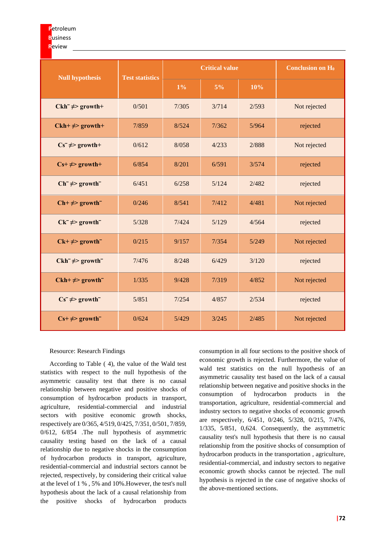#### **R**eview

|                                   |                        | <b>Critical value</b> |       |       | <b>Conclusion on H<sub>0</sub></b> |
|-----------------------------------|------------------------|-----------------------|-------|-------|------------------------------------|
| <b>Null hypothesis</b>            | <b>Test statistics</b> | $1\%$                 | $5\%$ | 10%   |                                    |
| $Ckh^{-} \neq$ growth+            | 0/501                  | 7/305                 | 3/714 | 2/593 | Not rejected                       |
| $Ckh+\neq>$ growth+               | 7/859                  | 8/524                 | 7/362 | 5/964 | rejected                           |
| $Cs^- \neq \text{growth+}$        | 0/612                  | 8/058                 | 4/233 | 2/888 | Not rejected                       |
| $Cs+ \neq growth+$                | 6/854                  | 8/201                 | 6/591 | 3/574 | rejected                           |
| $Ch^- \neq$ growth                | 6/451                  | 6/258                 | 5/124 | 2/482 | rejected                           |
| $\text{Ch+} \neq \text{growth}^-$ | 0/246                  | 8/541                 | 7/412 | 4/481 | Not rejected                       |
| $Ck^{-} \neq 2$ growth            | 5/328                  | 7/424                 | 5/129 | 4/564 | rejected                           |
| $Ck+ \neq$ growth                 | 0/215                  | 9/157                 | 7/354 | 5/249 | Not rejected                       |
| $Ckh^{-} \neq$ growth             | 7/476                  | 8/248                 | 6/429 | 3/120 | rejected                           |
| $Ckh+\neq>$ growth <sup>-</sup>   | 1/335                  | 9/428                 | 7/319 | 4/852 | Not rejected                       |
| $Cs^- \neq growth^-$              | 5/851                  | 7/254                 | 4/857 | 2/534 | rejected                           |
| $Cs+ \neq growth$                 | 0/624                  | 5/429                 | 3/245 | 2/485 | Not rejected                       |

### Resource: Research Findings

According to Table ( 4), the value of the Wald test statistics with respect to the null hypothesis of the asymmetric causality test that there is no causal relationship between negative and positive shocks of consumption of hydrocarbon products in transport, agriculture, residential-commercial and industrial sectors with positive economic growth shocks, respectively are 0/365, 4/519, 0/425, 7/351, 0/501, 7/859, 0/612, 6/854 .The null hypothesis of asymmetric causality testing based on the lack of a causal relationship due to negative shocks in the consumption of hydrocarbon products in transport, agriculture, residential-commercial and industrial sectors cannot be rejected, respectively, by considering their critical value at the level of 1 % , 5% and 10%.However, the test's null hypothesis about the lack of a causal relationship from the positive shocks of hydrocarbon products

consumption in all four sections to the positive shock of economic growth is rejected. Furthermore, the value of wald test statistics on the null hypothesis of an asymmetric causality test based on the lack of a causal relationship between negative and positive shocks in the consumption of hydrocarbon products in the transportation, agriculture, residential-commercial and industry sectors to negative shocks of economic growth are respectively, 6/451, 0/246, 5/328, 0/215, 7/476, 1/335, 5/851, 0,624. Consequently, the asymmetric causality test's null hypothesis that there is no causal relationship from the positive shocks of consumption of hydrocarbon products in the transportation , agriculture, residential-commercial, and industry sectors to negative economic growth shocks cannot be rejected. The null hypothesis is rejected in the case of negative shocks of the above-mentioned sections.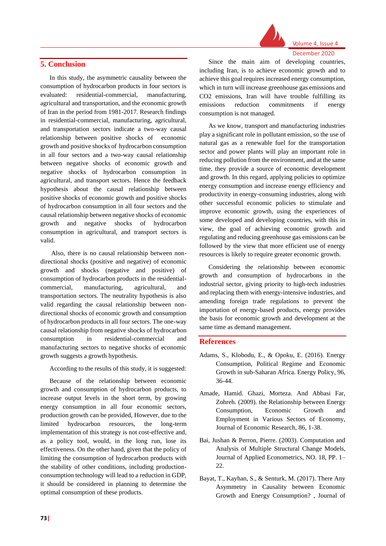# **5. Conclusion**

In this study, the asymmetric causality between the consumption of hydrocarbon products in four sectors is evaluated: residential-commercial, manufacturing, agricultural and transportation, and the economic growth of Iran in the period from 1981-2017. Research findings in residential-commercial, manufacturing, agricultural, and transportation sectors indicate a two-way causal relationship between positive shocks of economic growth and positive shocks of hydrocarbon consumption in all four sectors and a two-way causal relationship between negative shocks of economic growth and negative shocks of hydrocarbon consumption in agricultural, and transport sectors. Hence the feedback hypothesis about the causal relationship between positive shocks of economic growth and positive shocks of hydrocarbon consumption in all four sectors and the causal relationship between negative shocks of economic growth and negative shocks of hydrocarbon consumption in agricultural, and transport sectors is valid.

Also, there is no causal relationship between nondirectional shocks (positive and negative) of economic growth and shocks (negative and positive) of consumption of hydrocarbon products in the residentialcommercial, manufacturing, agricultural, and transportation sectors. The neutrality hypothesis is also valid regarding the causal relationship between nondirectional shocks of economic growth and consumption of hydrocarbon products in all four sectors. The one-way causal relationship from negative shocks of hydrocarbon consumption in residential-commercial and manufacturing sectors to negative shocks of economic growth suggests a growth hypothesis.

According to the results of this study, it is suggested:

Because of the relationship between economic growth and consumption of hydrocarbon products, to increase output levels in the short term, by growing energy consumption in all four economic sectors, production growth can be provided, However, due to the limited hydrocarbon resources, the long-term implementation of this strategy is not cost-effective and, as a policy tool, would, in the long run, lose its effectiveness. On the other hand, given that the policy of limiting the consumption of hydrocarbon products with the stability of other conditions, including productionconsumption technology will lead to a reduction in GDP, it should be considered in planning to determine the optimal consumption of these products.



Volume 4, Issue 4

Since the main aim of developing countries, including Iran, is to achieve economic growth and to achieve this goal requires increased energy consumption, which in turn will increase greenhouse gas emissions and CO2 emissions, Iran will have trouble fulfilling its emissions reduction commitments if energy consumption is not managed.

As we know, transport and manufacturing industries play a significant role in pollutant emission, so the use of natural gas as a renewable fuel for the transportation sector and power plants will play an important role in reducing pollution from the environment, and at the same time, they provide a source of economic development and growth. In this regard, applying policies to optimize energy consumption and increase energy efficiency and productivity in energy-consuming industries, along with other successful economic policies to stimulate and improve economic growth, using the experiences of some developed and developing countries, with this in view, the goal of achieving economic growth and regulating and reducing greenhouse gas emissions can be followed by the view that more efficient use of energy resources is likely to require greater economic growth.

Considering the relationship between economic growth and consumption of hydrocarbons in the industrial sector, giving priority to high-tech industries and replacing them with energy-intensive industries, and amending foreign trade regulations to prevent the importation of energy-based products, energy provides the basis for economic growth and development at the same time as demand management.

# **References**

- Adams, S., Klobodu, E., & Opoku, E. (2016). Energy Consumption, Political Regime and Economic Growth in sub-Saharan Africa. Energy Policy, 96, 36-44.
- Amade, Hamid. Ghazi, Morteza. And Abbasi Far, Zohreh. (2009). the Relationship between Energy Consumption, Economic Growth and Employment in Various Sectors of Economy, Journal of Economic Research, 86, 1-38.
- Bai, Jushan & Perron, Pierre. (2003). Computation and Analysis of Multiple Structural Change Models, Journal of Applied Econometrics, NO. 18, PP. 1– 22.
- Bayat, T., Kayhan, S., & Senturk, M. (2017). There Any Asymmetry in Causality between Economic Growth and Energy Consumption? , Journal of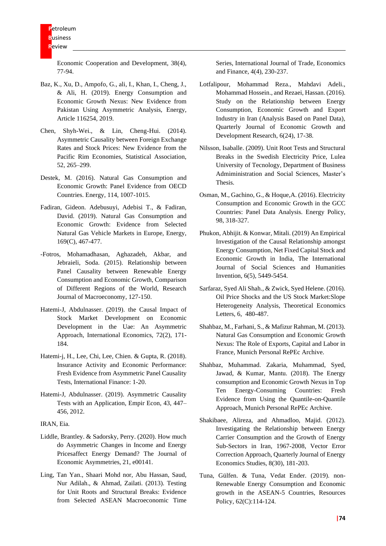Economic Cooperation and Development, 38(4), 77-94.

- Baz, K., Xu, D., Ampofo, G., ali, I., Khan, I., Cheng, J., & Ali, H. (2019). Energy Consumption and Economic Growth Nexus: New Evidence from Pakistan Using Asymmetric Analysis, Energy, Article 116254, 2019.
- Chen, Shyh-Wei., & Lin, Cheng-Hui. (2014). Asymmetric Causality between Foreign Exchange Rates and Stock Prices: New Evidence from the Pacific Rim Economies, Statistical Association, 52, 265–299.
- Destek, M. (2016). Natural Gas Consumption and Economic Growth: Panel Evidence from OECD Countries. Energy, 114, 1007-1015.
- Fadiran, Gideon. Adebusuyi, Adebisi T., & Fadiran, David. (2019). Natural Gas Consumption and Economic Growth: Evidence from Selected Natural Gas Vehicle Markets in Europe, Energy, 169(C), 467-477.
- -Fotros, Mohamadhasan, Aghazadeh, Akbar, and Jebraieli, Soda. (2015). Relationship between Panel Causality between Renewable Energy Consumption and Economic Growth, Comparison of Different Regions of the World, Research Journal of Macroeconomy, 127-150.
- Hatemi-J, Abdulnasser. (2019). the Causal Impact of Stock Market Development on Economic Development in the Uae: An Asymmetric Approach, International Economics, 72(2), 171- 184.
- Hatemi-j, H., Lee, Chi, Lee, Chien. & Gupta, R. (2018). Insurance Activity and Economic Performance: Fresh Evidence from Asymmetric Panel Causality Tests, International Finance: 1-20.
- Hatemi-J, Abdulnasser. (2019). Asymmetric Causality Tests with an Application, Empir Econ, 43, 447– 456, 2012.

IRAN, Eia.

- Liddle, Brantley. & Sadorsky, Perry. (2020). How much do Asymmetric Changes in Income and Energy Pricesaffect Energy Demand? The Journal of Economic Asymmetries, 21, e00141.
- Ling, Tan Yan., Shaari Mohd nor, Abu Hassan, Saud, Nur Adilah., & Ahmad, Zailati. (2013). Testing for Unit Roots and Structural Breaks: Evidence from Selected ASEAN Macroeconomic Time

Series, International Journal of Trade, Economics and Finance, 4(4), 230-237.

- Lotfalipour, Mohammad Reza., Mahdavi Adeli., Mohammad Hossein., and Rezaei, Hassan. (2016). Study on the Relationship between Energy Consumption, Economic Growth and Export Industry in Iran (Analysis Based on Panel Data), Quarterly Journal of Economic Growth and Development Research, 6(24), 17-38.
- Nilsson, Isaballe. (2009). Unit Root Tests and Structural Breaks in the Swedish Electricity Price, Lulea University of Tecnology, Department of Business Admiministration and Social Sciences, Master's Thesis.
- Osman, M., Gachino, G., & Hoque,A. (2016). Electricity Consumption and Economic Growth in the GCC Countries: Panel Data Analysis. Energy Policy, 98, 318-327.
- Phukon, Abhijit. & Konwar, Mitali. (2019) An Empirical Investigation of the Causal Relationship amongst Energy Consumption, Net Fixed Capital Stock and Economic Growth in India, The International Journal of Social Sciences and Humanities Invention, 6(5), 5449-5454.
- Sarfaraz, Syed Ali Shah., & Zwick, Syed Helene. (2016). Oil Price Shocks and the US Stock Market:Slope Heterogeneity Analysis, Theoretical Economics Letters, 6, 480-487.
- Shahbaz, M., Farhani, S., & Mafizur Rahman, M. (2013). Natural Gas Consumption and Economic Growth Nexus: The Role of Exports, Capital and Labor in France, Munich Personal RePEc Archive.
- Shahbaz, Muhammad. Zakaria, Muhammad, Syed, Jawad, & Kumar, Mantu. (2018). The Energy consumption and Economic Growth Nexus in Top Ten Energy-Consuming Countries: Fresh Evidence from Using the Quantile-on-Quantile Approach, Munich Personal RePEc Archive.
- Shakibaee, Alireza, and Ahmadloo, Majid. (2012). Investigating the Relationship between Energy Carrier Consumption and the Growth of Energy Sub-Sectors in Iran, 1967-2008, Vector Error Correction Approach, Quarterly Journal of Energy Economics Studies, 8(30), 181-203.
- Tuna, Gülfen. & Tuna, Vedat Ender. (2019). non-Renewable Energy Consumption and Economic growth in the ASEAN-5 Countries, Resources Policy, 62(C):114-124.